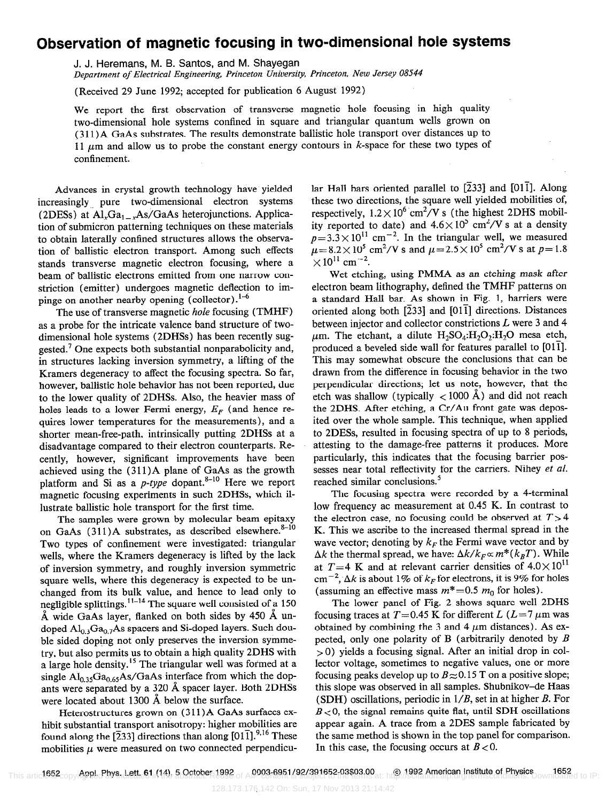## Observation of magnetic focusing in two-dimensional hole systems

J. J. Heremans, M. B. Santos, and M. Shayegan

Department of Electrical Engineering, Princeton University, Princeton, New Jersey 08544

(Received 29 June 1992; accepted for publication 6 August 1992)

We report the first observation of transverse magnetic hole focusing in high quality two-dimensional hole systems confined in square and triangular quantum wells grown on (311) A GaAs substrates. The results demonstrate ballistic hole transport over distances up to 11  $\mu$ m and allow us to probe the constant energy contours in k-space for these two types of confinement.

Advances in crystal growth technology have yielded increasingly pure two-dimensional electron systems (2DESs) at  $Al_xGa_{1-x}As/GaAs$  heterojunctions. Application of submicron patterning techniques on these materials to obtain laterally confined structures allows the observation of ballistic electron transport. Among such effects stands transverse magnetic electron focusing, where a beam of ballistic electrons emitted from one narrow constriction (emitter) undergoes magnetic deflection to impinge on another nearby opening (collector). $1-6$ 

The use of transverse magnetic hole focusing (TMHF) as a probe for the intricate valence band structure of twodimensional hole systems (2DHSs) has been recently suggested.' One expects both substantial nonparabolicity and, in structures lacking inversion symmetry, a lifting of the Kramers degeneracy to affect the focusing spectra. So far, however, ballistic hole behavior has not been reported, due to the lower quality of 2DHSs. Also, the heavier mass of holes leads to a lower Fermi energy,  $E_F$  (and hence requires lower temperatures for the measurements), and a shorter mean-free-path, intrinsically putting 2DHSs at a disadvantage compared to their electron counterparts. Recently, however, significant improvements have been achieved using the  $(311)$ A plane of GaAs as the growth platform and Si as a  $p$ -type dopant.<sup>8-10</sup> Here we report magnetic focusing experiments in such 2DHSs, which illustrate ballistic hole transport for the first time.

The samples were grown by molecular beam epitaxy on GaAs  $(311)$ A substrates, as described elsewhere.<sup>8-10</sup> Two types of confinement were investigated: triangular wells, where the Kramers degeneracy is lifted by the lack of inversion symmetry, and roughly inversion symmetric square wells, where this degeneracy is expected to be unchanged from its bulk value, and hence to lead only to negligible splittings.  $^{11-14}$  The square well consisted of a 150  $\AA$  wide GaAs layer, flanked on both sides by 450  $\AA$  undoped  $Al_{0,3}Ga_{0,7}As$  spacers and Si-doped layers. Such double sided doping not only preserves the inversion symmetry, but also permits us to obtain a high quality 2DHS with a large hole density.<sup>15</sup> The triangular well was formed at a single  $\text{Al}_{0.35}\text{Ga}_{0.65}\text{As/GaAs}$  interface from which the dopants were separated by a 320 A spacer layer. Both 2DHSs were located about 1300 Å below the surface.

Heterostructures grown on (311) A GaAs surfaces exhibit substantial transport anisotropy: higher mobilities are found along the [233] directions than along  $[01\bar{1}]$ .<sup>9,16</sup> These mobilities  $\mu$  were measured on two connected perpendicular Hall bars oriented parallel to  $[233]$  and  $[01\bar{1}]$ . Along these two directions, the square well yielded mobilities of, respectively,  $1.2 \times 10^6$  cm<sup>2</sup>/V s (the highest 2DHS mobility reported to date) and  $4.6 \times 10^5$  cm<sup>2</sup>/V s at a density  $p=3.3\times10^{11}$  cm<sup>-2</sup>. In the triangular well, we measured  $\mu$  = 8.2 × 10<sup>5</sup> cm<sup>2</sup>/V s and  $\mu$  = 2.5 × 10<sup>5</sup> cm<sup>2</sup>/V s at p= 1.8  $\times 10^{11}$  cm<sup>-2</sup>.

Wet etching, using PMMA as an etching mask after electron beam lithography, defined the TMHF patterns on a standard Hall bar. As shown in Fig. 1, barriers were oriented along both  $[\overline{2}33]$  and  $[01\overline{1}]$  directions. Distances between injector and collector constrictions L were 3 and 4  $\mu$ m. The etchant, a dilute  $H_2SO_4:H_2O_2:H_2O$  mesa etch, produced a beveled side wall for features parallel to  $[01\bar{1}]$ . This may somewhat obscure the conclusions that can be drawn from the difference in focusing behavior in the two perpendicular directions; let us note, however, that the etch was shallow (typically  $\langle$  1000 Å) and did not reach the 2DHS. After etching, a Cr/Au front gate was deposited over the whole sample. This technique, when applied to 2DESs, resulted in focusing spectra of up to 8 periods, attesting to the damage-free patterns it produces. More particularly, this indicates that the focusing barrier possesses near total reflectivity for the carriers. Nihey et al. reached similar conclusions.<sup>5</sup>

The focusing spectra were recorded by a 4-terminal low frequency ac measurement at 0.45 K. In contrast to the electron case, no focusing could be observed at  $T > 4$ K. This we ascribe to the increased thermal spread in the wave vector; denoting by  $k_F$  the Fermi wave vector and by  $\Delta k$  the thermal spread, we have:  $\Delta k / k_F \propto m^* (k_B T)$ . While at T=4 K and at relevant carrier densities of  $4.0 \times 10^{11}$ cm<sup>-2</sup>,  $\Delta k$  is about 1% of  $k_F$  for electrons, it is 9% for holes (assuming an effective mass  $m^* = 0.5$   $m_0$  for holes).

The lower panel of Fig. 2 shows square well 2DHS focusing traces at  $T=0.45$  K for different L (L = 7  $\mu$ m was obtained by combining the 3 and 4  $\mu$ m distances). As expected, only one polarity of B (arbitrarily denoted by  $B$  $> 0$ ) yields a focusing signal. After an initial drop in collector voltage, sometimes to negative values, one or more focusing peaks develop up to  $B \approx 0.15$  T on a positive slope; this slope was observed in all samples. Shubnikov-de Haas (SDH) oscillations, periodic in  $1/B$ , set in at higher B. For  $B<sub>0</sub>$ , the signal remains quite flat, until SDH oscillations appear again. A trace from a 2DES sample fabricated by the same method is shown in the top panel for comparison. In this case, the focusing occurs at  $B < 0$ .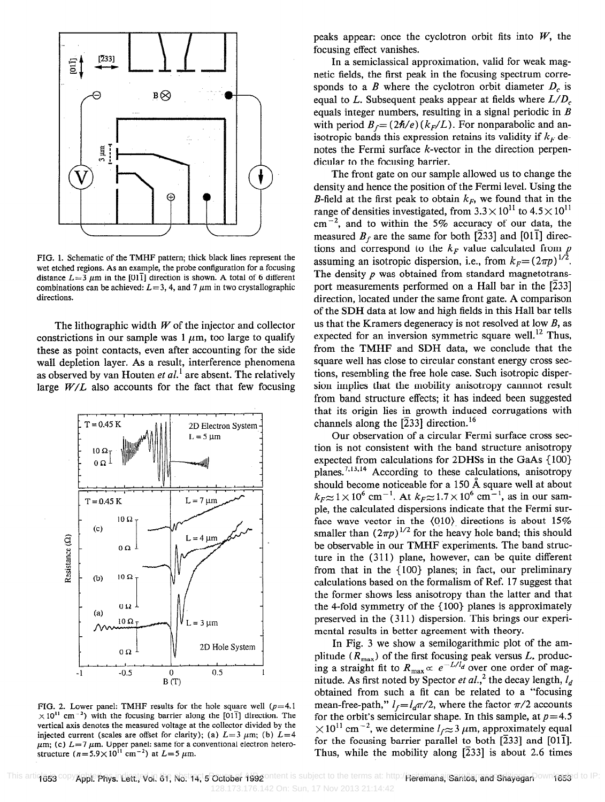

FIG. 1. Schematic of the TMHF pattern; thick black lines represent the wet etched regions. As an example, the probe configuration for a focusing distance  $L = 3 \mu m$  in the [011] direction is shown. A total of 6 different combinations can be achieved:  $L=3, 4$ , and 7  $\mu$ m in two crystallographic directions.

The lithographic width  $W$  of the injector and collector constrictions in our sample was  $1 \mu m$ , too large to qualify these as point contacts, even after accounting for the side wall depletion layer. As a result, interference phenomena as observed by van Houten et  $al$ <sup>1</sup> are absent. The relatively large  $W/L$  also accounts for the fact that few focusing



FIG. 2. Lower panel: TMHF results for the hole square well  $(p=4.1$  $\times$ 10<sup>11</sup> cm<sup>-2</sup>) with the focusing barrier along the [011] direction. The vertical axis denotes the measured voltage at the collector divided by the injected current (scales are offset for clarity); (a)  $L=3 \mu m$ ; (b)  $L=4$  $\mu$ m; (c)  $L=7 \mu$ m. Upper panel: same for a conventional electron heterostructure ( $n=5.9\times 10^{11}$  cm<sup>-2</sup>) at  $L=5 \mu$ m.

peaks appear: once the cyclotron orbit fits into  $W$ , the focusing effect vanishes.

In a semiclassical approximation, valid for weak magnetic fields, the first peak in the focusing spectrum corresponds to a B where the cyclotron orbit diameter  $D_c$  is equal to L. Subsequent peaks appear at fields where  $L/D_c$ equals integer numbers, resulting in a signal periodic in  $B$ with period  $B_f = (2\hbar/e) (k_F/L)$ . For nonparabolic and anisotropic bands this expression retains its validity if  $k_F$  denotes the Fermi surface k-vector in the direction perpendicular to the focusing barrier.

The front gate on our sample allowed us to change the density and hence the position of the Fermi level. Using the B-field at the first peak to obtain  $k_F$ , we found that in the range of densities investigated, from  $3.3 \times 10^{11}$  to  $4.5 \times 10^{11}$  $cm^{-2}$ , and to within the 5% accuracy of our data, the measured  $B_f$  are the same for both [233] and [011] directions and correspond to the  $k_F$  value calculated from  $p$ assuming an isotropic dispersion, i.e., from  $k_F=(2\pi p)^{1/2}$ . The density  $p$  was obtained from standard magnetotransport measurements performed on a Hall bar in the [233] direction, located under the same front gate. A comparison of the SDH data at low and high fields in this Hall bar tells us that the Kramers degeneracy is not resolved at low  $B$ , as expected for an inversion symmetric square well.<sup>12</sup> Thus, from the TMHF and SDH data, we conclude that the square well has close to circular constant energy cross sections, resembling the free hole case. Such isotropic dispersion implies that the mobility anisotropy cannnot result from band structure effects; it has indeed been suggested that its origin lies in growth induced corrugations with channels along the  $[233]$  direction.<sup>16</sup>

Our observation of a circular Fermi surface cross section is not consistent with the band structure anisotropy expected from calculations for 2DHSs in the GaAs {IOO} planes.<sup>7,13,14</sup> According to these calculations, anisotropy should become noticeable for a 150  $\AA$  square well at about  $k_F \approx 1 \times 10^6$  cm<sup>-1</sup>. At  $k_F \approx 1.7 \times 10^6$  cm<sup>-1</sup>, as in our sample, the calculated dispersions indicate that the Fermi surface wave vector in the  $\langle 010 \rangle$  directions is about 15% smaller than  $(2\pi p)^{1/2}$  for the heavy hole band; this should be observable in our TMHF experiments. The band structure in the (311) plane, however, can be quite different from that in the { 100) planes; in fact, our preliminary calculations based on the formalism of Ref. 17 suggest that the former shows less anisotropy than the latter and that the 4-fold symmetry of the  ${100}$  planes is approximately preserved in the (311) dispersion. This brings our experimental results in better agreement with theory.

In Fig. 3 we show a semilogarithmic plot of the amplitude ( $R_{\text{max}}$ ) of the first focusing peak versus L, produc ing a straight fit to  $R_{\text{max}} \propto e^{-\frac{L}{d}}$  over one order of magnitude. As first noted by Spector *et al*.,<sup>2</sup> the decay length,  $l_d$ obtained from such a fit can be related to a "focusing mean-free-path,"  $l_f = l_d \pi/2$ , where the factor  $\pi/2$  accounts for the orbit's semicircular shape. In this sample, at  $p=4$ .  $\times 10^{11}$  cm<sup>-2</sup>, we determine  $I_f \approx 3 \mu$ m, approximately equal for the focusing barrier parallel to both  $[233]$  and  $[01\bar{1}]$ . Thus, while the mobility along  $\overline{[233]}$  is about 2.6 times

This artiqissa copy**Appi: Phys. Lett. Vol. 61, No. 14, 5 October 1992** ontent is subject to the terms at: http:/**Reremans, Santos, and Shayegan**Down**1653** d to IP: 128.173.176.142 On: Sun, 17 Nov 2013 21:14:42